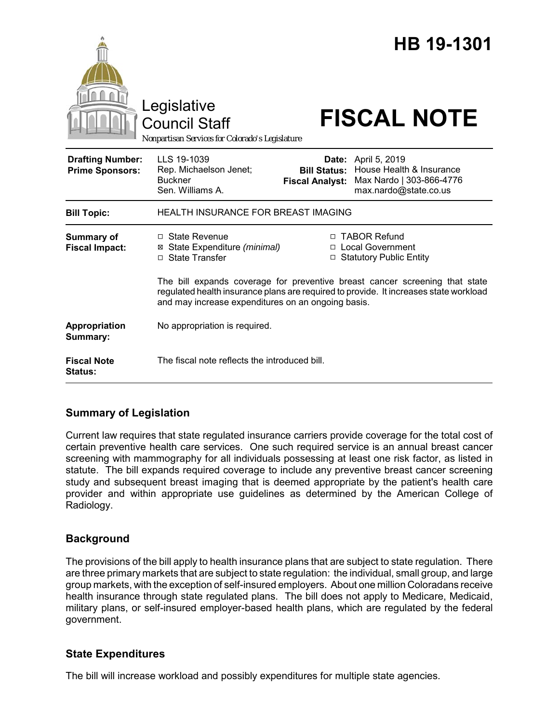|                                                   | Legislative<br><b>Council Staff</b><br>Nonpartisan Services for Colorado's Legislature                                                                                                                                     |                                               | HB 19-1301<br><b>FISCAL NOTE</b>                                                                            |
|---------------------------------------------------|----------------------------------------------------------------------------------------------------------------------------------------------------------------------------------------------------------------------------|-----------------------------------------------|-------------------------------------------------------------------------------------------------------------|
| <b>Drafting Number:</b><br><b>Prime Sponsors:</b> | LLS 19-1039<br>Rep. Michaelson Jenet;<br><b>Buckner</b><br>Sen. Williams A.                                                                                                                                                | <b>Bill Status:</b><br><b>Fiscal Analyst:</b> | <b>Date:</b> April 5, 2019<br>House Health & Insurance<br>Max Nardo   303-866-4776<br>max.nardo@state.co.us |
| <b>Bill Topic:</b>                                | <b>HEALTH INSURANCE FOR BREAST IMAGING</b>                                                                                                                                                                                 |                                               |                                                                                                             |
| <b>Summary of</b><br><b>Fiscal Impact:</b>        | □ State Revenue<br>⊠ State Expenditure (minimal)<br>□ State Transfer                                                                                                                                                       |                                               | □ TABOR Refund<br>□ Local Government<br>□ Statutory Public Entity                                           |
|                                                   | The bill expands coverage for preventive breast cancer screening that state<br>regulated health insurance plans are required to provide. It increases state workload<br>and may increase expenditures on an ongoing basis. |                                               |                                                                                                             |
| Appropriation<br>Summary:                         | No appropriation is required.                                                                                                                                                                                              |                                               |                                                                                                             |
| <b>Fiscal Note</b><br>Status:                     | The fiscal note reflects the introduced bill.                                                                                                                                                                              |                                               |                                                                                                             |

# **Summary of Legislation**

Current law requires that state regulated insurance carriers provide coverage for the total cost of certain preventive health care services. One such required service is an annual breast cancer screening with mammography for all individuals possessing at least one risk factor, as listed in statute. The bill expands required coverage to include any preventive breast cancer screening study and subsequent breast imaging that is deemed appropriate by the patient's health care provider and within appropriate use guidelines as determined by the American College of Radiology.

# **Background**

The provisions of the bill apply to health insurance plans that are subject to state regulation. There are three primary markets that are subject to state regulation: the individual, small group, and large group markets, with the exception of self-insured employers. About one million Coloradans receive health insurance through state regulated plans. The bill does not apply to Medicare, Medicaid, military plans, or self-insured employer-based health plans, which are regulated by the federal government.

# **State Expenditures**

The bill will increase workload and possibly expenditures for multiple state agencies.